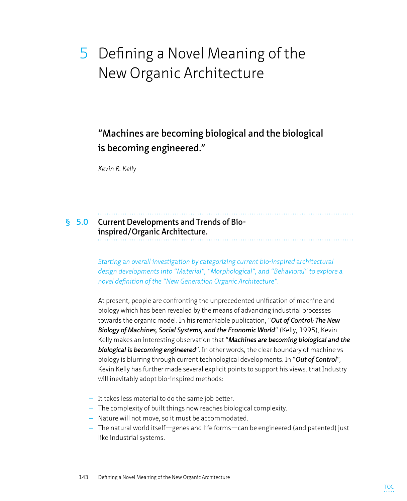# 5 Defining a Novel Meaning of the New Organic Architecture

# **"Machines are becoming biological and the biological is becoming engineered."**

*Kevin R. Kelly*

# **§ 5.0 Current Developments and Trends of Bioinspired/Organic Architecture.**

*Starting an overall investigation by categorizing current bio-inspired architectural design developments into "Material", "Morphological", and "Behavioral" to explore a novel definition of the "New Generation Organic Architecture".*

At present, people are confronting the unprecedented unification of machine and biology which has been revealed by the means of advancing industrial processes towards the organic model. In his remarkable publication, "*Out of Control: The New Biology of Machines, Social Systems, and the Economic World*" (Kelly, 1995), Kevin Kelly makes an interesting observation that "*Machines are becoming biological and the biological is becoming engineered*". In other words, the clear boundary of machine vs biology is blurring through current technological developments. In "*Out of Control*", Kevin Kelly has further made several explicit points to support his views, that Industry will inevitably adopt bio-inspired methods:

- It takes less material to do the same job better.
- The complexity of built things now reaches biological complexity.
- Nature will not move, so it must be accommodated.
- The natural world itself—genes and life forms—can be engineered (and patented) just like industrial systems.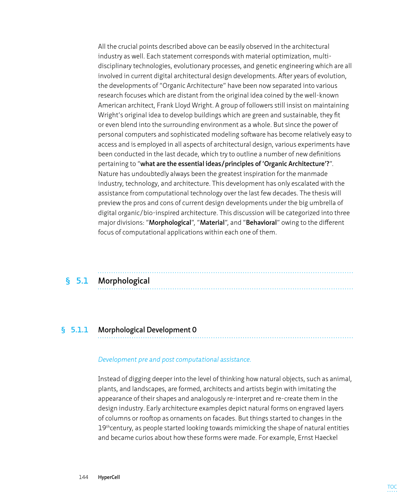All the crucial points described above can be easily observed in the architectural industry as well. Each statement corresponds with material optimization, multidisciplinary technologies, evolutionary processes, and genetic engineering which are all involved in current digital architectural design developments. After years of evolution, the developments of "Organic Architecture" have been now separated into various research focuses which are distant from the original idea coined by the well-known American architect, Frank Lloyd Wright. A group of followers still insist on maintaining Wright's original idea to develop buildings which are green and sustainable, they fit or even blend into the surrounding environment as a whole. But since the power of personal computers and sophisticated modeling software has become relatively easy to access and is employed in all aspects of architectural design, various experiments have been conducted in the last decade, which try to outline a number of new definitions pertaining to "**what are the essential ideas/principles of 'Organic Architecture'?**". Nature has undoubtedly always been the greatest inspiration for the manmade industry, technology, and architecture. This development has only escalated with the assistance from computational technology over the last few decades. The thesis will preview the pros and cons of current design developments under the big umbrella of digital organic/bio-inspired architecture. This discussion will be categorized into three major divisions: "**Morphological**", "**Material**", and "**Behavioral**" owing to the different focus of computational applications within each one of them.

# **§ 5.1 Morphological**

#### **§ 5.1.1 Morphological Development 0**

#### *Development pre and post computational assistance.*

Instead of digging deeper into the level of thinking how natural objects, such as animal, plants, and landscapes, are formed, architects and artists begin with imitating the appearance of their shapes and analogously re-interpret and re-create them in the design industry. Early architecture examples depict natural forms on engraved layers of columns or rooftop as ornaments on facades. But things started to changes in the  $19<sup>th</sup>$ century, as people started looking towards mimicking the shape of natural entities and became curios about how these forms were made. For example, Ernst Haeckel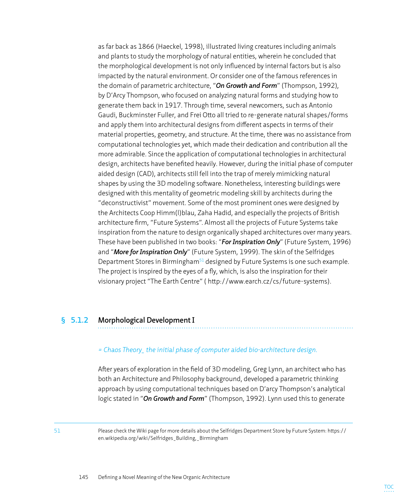as far back as 1866 (Haeckel, 1998), illustrated living creatures including animals and plants to study the morphology of natural entities, wherein he concluded that the morphological development is not only influenced by internal factors but is also impacted by the natural environment. Or consider one of the famous references in the domain of parametric architecture, "*On Growth and Form*" (Thompson, 1992), by D'Arcy Thompson, who focused on analyzing natural forms and studying how to generate them back in 1917. Through time, several newcomers, such as Antonio Gaudi, Buckminster Fuller, and Frei Otto all tried to re-generate natural shapes/forms and apply them into architectural designs from different aspects in terms of their material properties, geometry, and structure. At the time, there was no assistance from computational technologies yet, which made their dedication and contribution all the more admirable. Since the application of computational technologies in architectural design, architects have benefited heavily. However, during the initial phase of computer aided design (CAD), architects still fell into the trap of merely mimicking natural shapes by using the 3D modeling software. Nonetheless, interesting buildings were designed with this mentality of geometric modeling skill by architects during the "deconstructivist" movement. Some of the most prominent ones were designed by the Architects Coop Himm(l)blau, Zaha Hadid, and especially the projects of British architecture firm, "Future Systems". Almost all the projects of Future Systems take inspiration from the nature to design organically shaped architectures over many years. These have been published in two books: "*For Inspiration Only*" (Future System, 1996) and "*More for Inspiration Only*" (Future System, 1999). The skin of the Selfridges Department Stores in Birmingham<sup>51</sup> designed by Future Systems is one such example. The project is inspired by the eyes of a fly, which, is also the inspiration for their visionary project "The Earth Centre" ( http://www.earch.cz/cs/future-systems).

#### **§ 5.1.2 Morphological Development I**

#### *= Chaos Theory\_ the initial phase of computer aided bio-architecture design.*

After years of exploration in the field of 3D modeling, Greg Lynn, an architect who has both an Architecture and Philosophy background, developed a parametric thinking approach by using computational techniques based on D'arcy Thompson's analytical logic stated in "*On Growth and Form*" (Thompson, 1992). Lynn used this to generate

51 Please check the Wiki page for more details about the Selfridges Department Store by Future System: https:// en.wikipedia.org/wiki/Selfridges\_Building,\_Birmingham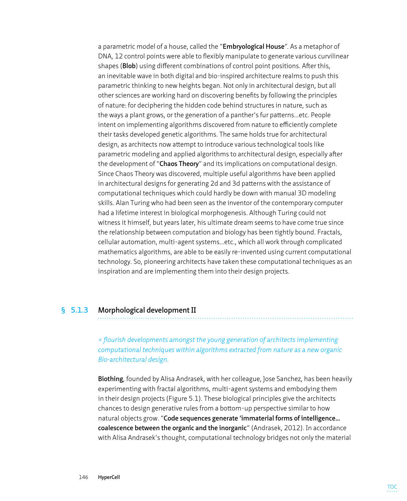a parametric model of a house, called the "**Embryological House**". As a metaphor of DNA, 12 control points were able to flexibly manipulate to generate various curvilinear shapes (**Blob**) using different combinations of control point positions. After this, an inevitable wave in both digital and bio-inspired architecture realms to push this parametric thinking to new heights began. Not only in architectural design, but all other sciences are working hard on discovering benefits by following the principles of nature: for deciphering the hidden code behind structures in nature, such as the ways a plant grows, or the generation of a panther's fur patterns…etc. People intent on implementing algorithms discovered from nature to efficiently complete their tasks developed genetic algorithms. The same holds true for architectural design, as architects now attempt to introduce various technological tools like parametric modeling and applied algorithms to architectural design, especially after the development of "**Chaos Theory**" and its implications on computational design. Since Chaos Theory was discovered, multiple useful algorithms have been applied in architectural designs for generating 2d and 3d patterns with the assistance of computational techniques which could hardly be down with manual 3D modeling skills. Alan Turing who had been seen as the inventor of the contemporary computer had a lifetime interest in biological morphogenesis. Although Turing could not witness it himself, but years later, his ultimate dream seems to have come true since the relationship between computation and biology has been tightly bound. Fractals, cellular automation, multi-agent systems…etc., which all work through complicated mathematics algorithms, are able to be easily re-invented using current computational technology. So, pioneering architects have taken these computational techniques as an inspiration and are implementing them into their design projects.

#### **§ 5.1.3 Morphological development II**

*= flourish developments amongst the young generation of architects implementing computational techniques within algorithms extracted from nature as a new organic Bio-architectural design.*

**Biothing**, founded by Alisa Andrasek, with her colleague, Jose Sanchez, has been heavily experimenting with fractal algorithms, multi-agent systems and embodying them in their design projects (Figure 5.1). These biological principles give the architects chances to design generative rules from a bottom-up perspective similar to how natural objects grow. "**Code sequences generate 'immaterial forms of intelligence… coalescence between the organic and the inorganic**" (Andrasek, 2012). In accordance with Alisa Andrasek's thought, computational technology bridges not only the material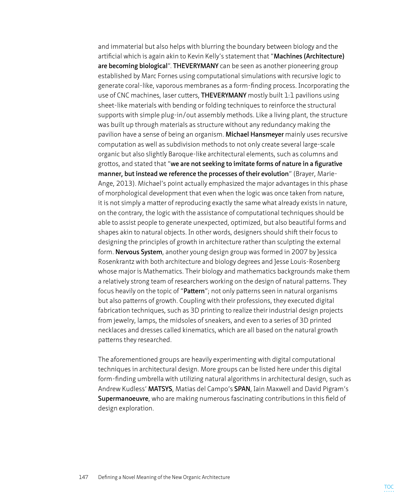and immaterial but also helps with blurring the boundary between biology and the artificial which is again akin to Kevin Kelly's statement that "**Machines (Architecture) are becoming biological**". **THEVERYMANY** can be seen as another pioneering group established by Marc Fornes using computational simulations with recursive logic to generate coral-like, vaporous membranes as a form-finding process. Incorporating the use of CNC machines, laser cutters, **THEVERYMANY** mostly built 1:1 pavilions using sheet-like materials with bending or folding techniques to reinforce the structural supports with simple plug-in/out assembly methods. Like a living plant, the structure was built up through materials as structure without any redundancy making the pavilion have a sense of being an organism. **Michael Hansmeyer** mainly uses recursive computation as well as subdivision methods to not only create several large-scale organic but also slightly Baroque-like architectural elements, such as columns and grottos, and stated that "**we are not seeking to imitate forms of nature in a figurative manner, but instead we reference the processes of their evolution**" (Brayer, Marie-Ange, 2013). Michael's point actually emphasized the major advantages in this phase of morphological development that even when the logic was once taken from nature, it is not simply a matter of reproducing exactly the same what already exists in nature, on the contrary, the logic with the assistance of computational techniques should be able to assist people to generate unexpected, optimized, but also beautiful forms and shapes akin to natural objects. In other words, designers should shift their focus to designing the principles of growth in architecture rather than sculpting the external form. **Nervous System**, another young design group was formed in 2007 by Jessica Rosenkrantz with both architecture and biology degrees and Jesse Louis-Rosenberg whose major is Mathematics. Their biology and mathematics backgrounds make them a relatively strong team of researchers working on the design of natural patterns. They focus heavily on the topic of "**Pattern**"; not only patterns seen in natural organisms but also patterns of growth. Coupling with their professions, they executed digital fabrication techniques, such as 3D printing to realize their industrial design projects from jewelry, lamps, the midsoles of sneakers, and even to a series of 3D printed necklaces and dresses called kinematics, which are all based on the natural growth patterns they researched.

The aforementioned groups are heavily experimenting with digital computational techniques in architectural design. More groups can be listed here under this digital form-finding umbrella with utilizing natural algorithms in architectural design, such as Andrew Kudless' **MATSYS**, Matias del Campo's **SPAN**, Iain Maxwell and David Pigram's **Supermanoeuvre**, who are making numerous fascinating contributions in this field of design exploration.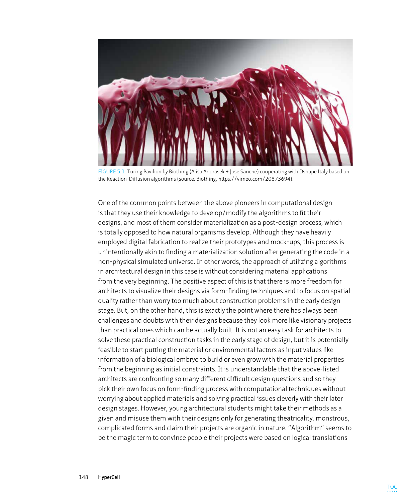

Figure 5.1 Turing Pavilion by Biothing (Alisa Andrasek + Jose Sanche) cooperating with Dshape Italy based on the Reaction-Diffusion algorithms (source: Biothing, https://vimeo.com/20873694).

One of the common points between the above pioneers in computational design is that they use their knowledge to develop/modify the algorithms to fit their designs, and most of them consider materialization as a post-design process, which is totally opposed to how natural organisms develop. Although they have heavily employed digital fabrication to realize their prototypes and mock-ups, this process is unintentionally akin to finding a materialization solution after generating the code in a non-physical simulated universe. In other words, the approach of utilizing algorithms in architectural design in this case is without considering material applications from the very beginning. The positive aspect of this is that there is more freedom for architects to visualize their designs via form-finding techniques and to focus on spatial quality rather than worry too much about construction problems in the early design stage. But, on the other hand, this is exactly the point where there has always been challenges and doubts with their designs because they look more like visionary projects than practical ones which can be actually built. It is not an easy task for architects to solve these practical construction tasks in the early stage of design, but it is potentially feasible to start putting the material or environmental factors as input values like information of a biological embryo to build or even grow with the material properties from the beginning as initial constraints. It is understandable that the above-listed architects are confronting so many different difficult design questions and so they pick their own focus on form-finding process with computational techniques without worrying about applied materials and solving practical issues cleverly with their later design stages. However, young architectural students might take their methods as a given and misuse them with their designs only for generating theatricality, monstrous, complicated forms and claim their projects are organic in nature. "Algorithm" seems to be the magic term to convince people their projects were based on logical translations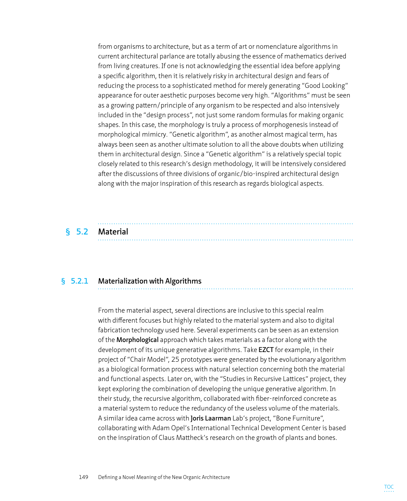from organisms to architecture, but as a term of art or nomenclature algorithms in current architectural parlance are totally abusing the essence of mathematics derived from living creatures. If one is not acknowledging the essential idea before applying a specific algorithm, then it is relatively risky in architectural design and fears of reducing the process to a sophisticated method for merely generating "Good Looking" appearance for outer aesthetic purposes become very high. "Algorithms" must be seen as a growing pattern/principle of any organism to be respected and also intensively included in the "design process", not just some random formulas for making organic shapes. In this case, the morphology is truly a process of morphogenesis instead of morphological mimicry. "Genetic algorithm", as another almost magical term, has always been seen as another ultimate solution to all the above doubts when utilizing them in architectural design. Since a "Genetic algorithm" is a relatively special topic closely related to this research's design methodology, it will be intensively considered after the discussions of three divisions of organic/bio-inspired architectural design along with the major inspiration of this research as regards biological aspects.

# **§ 5.2 Material**

# **§ 5.2.1 Materialization with Algorithms**

From the material aspect, several directions are inclusive to this special realm with different focuses but highly related to the material system and also to digital fabrication technology used here. Several experiments can be seen as an extension of the **Morphological** approach which takes materials as a factor along with the development of its unique generative algorithms. Take **EZCT** for example, in their project of "Chair Model", 25 prototypes were generated by the evolutionary algorithm as a biological formation process with natural selection concerning both the material and functional aspects. Later on, with the "Studies in Recursive Lattices" project, they kept exploring the combination of developing the unique generative algorithm. In their study, the recursive algorithm, collaborated with fiber-reinforced concrete as a material system to reduce the redundancy of the useless volume of the materials. A similar idea came across with **Joris Laarman** Lab's project, "Bone Furniture", collaborating with Adam Opel's International Technical Development Center is based on the inspiration of Claus Mattheck's research on the growth of plants and bones.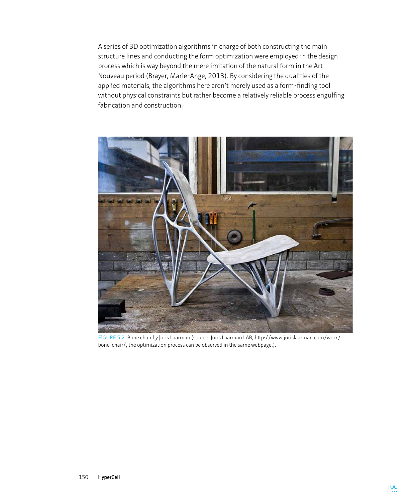A series of 3D optimization algorithms in charge of both constructing the main structure lines and conducting the form optimization were employed in the design process which is way beyond the mere imitation of the natural form in the Art Nouveau period (Brayer, Marie-Ange, 2013). By considering the qualities of the applied materials, the algorithms here aren't merely used as a form-finding tool without physical constraints but rather become a relatively reliable process engulfing fabrication and construction.



Figure 5.2 Bone chair by Joris Laarman (source: Joris Laarman LAB, http://www.jorislaarman.com/work/ bone-chair/, the optimization process can be observed in the same webpage.).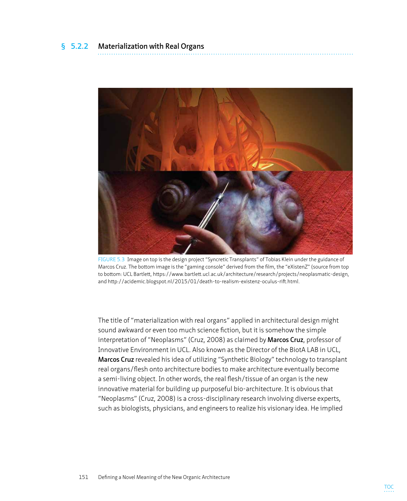#### **§ 5.2.2 Materialization with Real Organs**



FIGURE 5.3 Image on top is the design project "Syncretic Transplants" of Tobias Klein under the guidance of Marcos Cruz. The bottom image is the "gaming console" derived from the film, the "eXistenZ" (source from top to bottom: UCL Bartlett, https://www.bartlett.ucl.ac.uk/architecture/research/projects/neoplasmatic-design, and http://acidemic.blogspot.nl/2015/01/death-to-realism-existenz-oculus-rift.html.

The title of "materialization with real organs" applied in architectural design might sound awkward or even too much science fiction, but it is somehow the simple interpretation of "Neoplasms" (Cruz, 2008) as claimed by **Marcos Cruz**, professor of Innovative Environment in UCL. Also known as the Director of the BiotA LAB in UCL, **Marcos Cruz** revealed his idea of utilizing "Synthetic Biology" technology to transplant real organs/flesh onto architecture bodies to make architecture eventually become a semi-living object. In other words, the real flesh/tissue of an organ is the new innovative material for building up purposeful bio-architecture. It is obvious that "Neoplasms" (Cruz, 2008) is a cross-disciplinary research involving diverse experts, such as biologists, physicians, and engineers to realize his visionary idea. He implied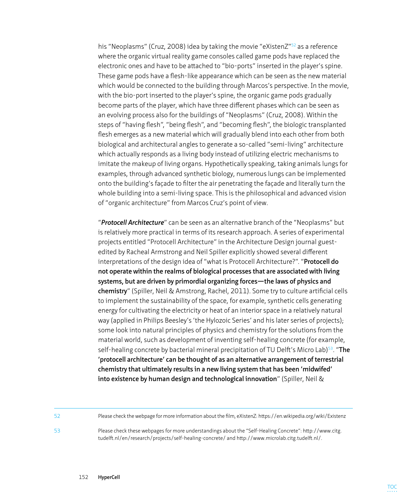his "Neoplasms" (Cruz, 2008) idea by taking the movie "eXistenZ"<sup>52</sup> as a reference where the organic virtual reality game consoles called game pods have replaced the electronic ones and have to be attached to "bio-ports" inserted in the player's spine. These game pods have a flesh-like appearance which can be seen as the new material which would be connected to the building through Marcos's perspective. In the movie, with the bio-port inserted to the player's spine, the organic game pods gradually become parts of the player, which have three different phases which can be seen as an evolving process also for the buildings of "Neoplasms" (Cruz, 2008). Within the steps of "having flesh", "being flesh", and "becoming flesh", the biologic transplanted flesh emerges as a new material which will gradually blend into each other from both biological and architectural angles to generate a so-called "semi-living" architecture which actually responds as a living body instead of utilizing electric mechanisms to imitate the makeup of living organs. Hypothetically speaking, taking animals lungs for examples, through advanced synthetic biology, numerous lungs can be implemented onto the building's façade to filter the air penetrating the façade and literally turn the whole building into a semi-living space. This is the philosophical and advanced vision of "organic architecture" from Marcos Cruz's point of view.

"*Protocell Architecture*" can be seen as an alternative branch of the "Neoplasms" but is relatively more practical in terms of its research approach. A series of experimental projects entitled "Protocell Architecture" in the Architecture Design journal guestedited by Racheal Armstrong and Neil Spiller explicitly showed several different interpretations of the design idea of "what is Protocell Architecture?". "**Protocell do not operate within the realms of biological processes that are associated with living systems, but are driven by primordial organizing forces—the laws of physics and chemistry**" (Spiller, Neil & Amstrong, Rachel, 2011). Some try to culture artificial cells to implement the sustainability of the space, for example, synthetic cells generating energy for cultivating the electricity or heat of an interior space in a relatively natural way (applied in Philips Beesley's 'the Hylozoic Series' and his later series of projects); some look into natural principles of physics and chemistry for the solutions from the material world, such as development of inventing self-healing concrete (for example, self-healing concrete by bacterial mineral precipitation of TU Delft's Micro Lab)<sup>53</sup>. "The **'protocell architecture' can be thought of as an alternative arrangement of terrestrial chemistry that ultimately results in a new living system that has been 'midwifed' into existence by human design and technological innovation**" (Spiller, Neil &

52 Please check the webpage for more information aboutthe film, eXistenZ: https://en.wikipedia.org/wiki/Existenz

53 Please check these webpages for more understandings about the "Self-Healing Concrete": http://www.citg. tudelft.nl/en/research/projects/self-healing-concrete/ and http://www.microlab.citg.tudelft.nl/.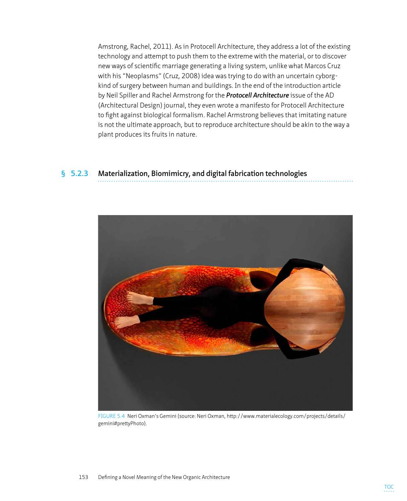Amstrong, Rachel, 2011). As in Protocell Architecture, they address a lot of the existing technology and attempt to push them to the extreme with the material, or to discover new ways of scientific marriage generating a living system, unlike what Marcos Cruz with his "Neoplasms" (Cruz, 2008) idea was trying to do with an uncertain cyborgkind of surgery between human and buildings. In the end of the introduction article by Neil Spiller and Rachel Armstrong for the *Protocell Architecture* issue of the AD (Architectural Design) journal, they even wrote a manifesto for Protocell Architecture to fight against biological formalism. Rachel Armstrong believes that imitating nature is not the ultimate approach, but to reproduce architecture should be akin to the way a plant produces its fruits in nature.

#### **§ 5.2.3 Materialization, Biomimicry, and digital fabrication technologies**



Figure 5.4 Neri Oxman's Gemini (source: Neri Oxman, http://www.materialecology.com/projects/details/ gemini#prettyPhoto).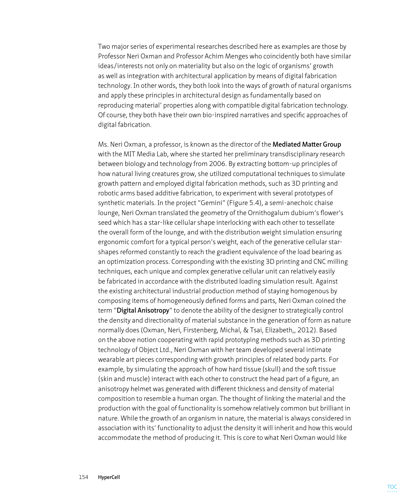Two major series of experimental researches described here as examples are those by Professor Neri Oxman and Professor Achim Menges who coincidently both have similar ideas/interests not only on materiality but also on the logic of organisms' growth as well as integration with architectural application by means of digital fabrication technology. In other words, they both look into the ways of growth of natural organisms and apply these principles in architectural design as fundamentally based on reproducing material' properties along with compatible digital fabrication technology. Of course, they both have their own bio-inspired narratives and specific approaches of digital fabrication.

Ms. Neri Oxman, a professor, is known as the director of the **Mediated Matter Group** with the MIT Media Lab, where she started her preliminary transdisciplinary research between biology and technology from 2006. By extracting bottom-up principles of how natural living creatures grow, she utilized computational techniques to simulate growth pattern and employed digital fabrication methods, such as 3D printing and robotic arms based additive fabrication, to experiment with several prototypes of synthetic materials. In the project "Gemini" (Figure 5.4), a semi-anechoic chaise lounge, Neri Oxman translated the geometry of the Ornithogalum dubium's flower's seed which has a star-like cellular shape interlocking with each other to tessellate the overall form of the lounge, and with the distribution weight simulation ensuring ergonomic comfort for a typical person's weight, each of the generative cellular starshapes reformed constantly to reach the gradient equivalence of the load bearing as an optimization process. Corresponding with the existing 3D printing and CNC milling techniques, each unique and complex generative cellular unit can relatively easily be fabricated in accordance with the distributed loading simulation result. Against the existing architectural industrial production method of staying homogenous by composing items of homogeneously defined forms and parts, Neri Oxman coined the term "**Digital Anisotropy**" to denote the ability of the designer to strategically control the density and directionality of material substance in the generation of form as nature normally does (Oxman, Neri, Firstenberg, Michal, & Tsai, Elizabeth,, 2012). Based on the above notion cooperating with rapid prototyping methods such as 3D printing technology of Object Ltd., Neri Oxman with her team developed several intimate wearable art pieces corresponding with growth principles of related body parts. For example, by simulating the approach of how hard tissue (skull) and the soft tissue (skin and muscle) interact with each other to construct the head part of a figure, an anisotropy helmet was generated with different thickness and density of material composition to resemble a human organ. The thought of linking the material and the production with the goal of functionality is somehow relatively common but brilliant in nature. While the growth of an organism in nature, the material is always considered in association with its' functionality to adjust the density it will inherit and how this would accommodate the method of producing it. This is core to what Neri Oxman would like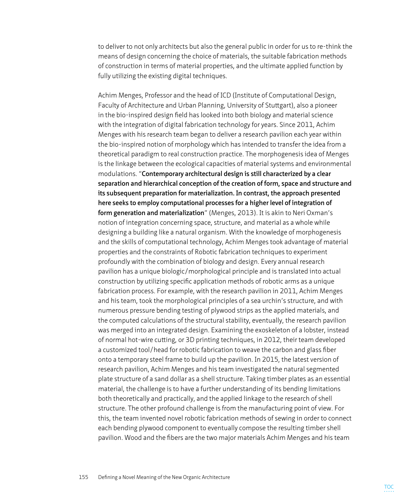to deliver to not only architects but also the general public in order for us to re-think the means of design concerning the choice of materials, the suitable fabrication methods of construction in terms of material properties, and the ultimate applied function by fully utilizing the existing digital techniques.

Achim Menges, Professor and the head of ICD (Institute of Computational Design, Faculty of Architecture and Urban Planning, University of Stuttgart), also a pioneer in the bio-inspired design field has looked into both biology and material science with the integration of digital fabrication technology for years. Since 2011, Achim Menges with his research team began to deliver a research pavilion each year within the bio-inspired notion of morphology which has intended to transfer the idea from a theoretical paradigm to real construction practice. The morphogenesis idea of Menges is the linkage between the ecological capacities of material systems and environmental modulations. "**Contemporary architectural design is still characterized by a clear separation and hierarchical conception of the creation of form, space and structure and its subsequent preparation for materialization. In contrast, the approach presented here seeks to employ computational processes for a higher level of integration of form generation and materialization**" (Menges, 2013). It is akin to Neri Oxman's notion of integration concerning space, structure, and material as a whole while designing a building like a natural organism. With the knowledge of morphogenesis and the skills of computational technology, Achim Menges took advantage of material properties and the constraints of Robotic fabrication techniques to experiment profoundly with the combination of biology and design. Every annual research pavilion has a unique biologic/morphological principle and is translated into actual construction by utilizing specific application methods of robotic arms as a unique fabrication process. For example, with the research pavilion in 2011, Achim Menges and his team, took the morphological principles of a sea urchin's structure, and with numerous pressure bending testing of plywood strips as the applied materials, and the computed calculations of the structural stability, eventually, the research pavilion was merged into an integrated design. Examining the exoskeleton of a lobster, instead of normal hot-wire cutting, or 3D printing techniques, in 2012, their team developed a customized tool/head for robotic fabrication to weave the carbon and glass fiber onto a temporary steel frame to build up the pavilion. In 2015, the latest version of research pavilion, Achim Menges and his team investigated the natural segmented plate structure of a sand dollar as a shell structure. Taking timber plates as an essential material, the challenge is to have a further understanding of its bending limitations both theoretically and practically, and the applied linkage to the research of shell structure. The other profound challenge is from the manufacturing point of view. For this, the team invented novel robotic fabrication methods of sewing in order to connect each bending plywood component to eventually compose the resulting timber shell pavilion. Wood and the fibers are the two major materials Achim Menges and his team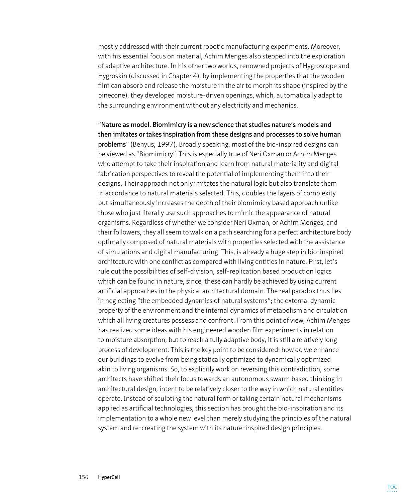mostly addressed with their current robotic manufacturing experiments. Moreover, with his essential focus on material, Achim Menges also stepped into the exploration of adaptive architecture. In his other two worlds, renowned projects of Hygroscope and Hygroskin (discussed in Chapter 4), by implementing the properties that the wooden film can absorb and release the moisture in the air to morph its shape (inspired by the pinecone), they developed moisture-driven openings, which, automatically adapt to the surrounding environment without any electricity and mechanics.

"**Nature as model. Biomimicry is a new science that studies nature's models and then imitates or takes inspiration from these designs and processes to solve human problems**" (Benyus, 1997). Broadly speaking, most of the bio-inspired designs can be viewed as "Biomimicry". This is especially true of Neri Oxman or Achim Menges who attempt to take their inspiration and learn from natural materiality and digital fabrication perspectives to reveal the potential of implementing them into their designs. Their approach not only imitates the natural logic but also translate them in accordance to natural materials selected. This, doubles the layers of complexity but simultaneously increases the depth of their biomimicry based approach unlike those who just literally use such approaches to mimic the appearance of natural organisms. Regardless of whether we consider Neri Oxman, or Achim Menges, and their followers, they all seem to walk on a path searching for a perfect architecture body optimally composed of natural materials with properties selected with the assistance of simulations and digital manufacturing. This, is already a huge step in bio-inspired architecture with one conflict as compared with living entities in nature. First, let's rule out the possibilities of self-division, self-replication based production logics which can be found in nature, since, these can hardly be achieved by using current artificial approaches in the physical architectural domain. The real paradox thus lies in neglecting "the embedded dynamics of natural systems"; the external dynamic property of the environment and the internal dynamics of metabolism and circulation which all living creatures possess and confront. From this point of view, Achim Menges has realized some ideas with his engineered wooden film experiments in relation to moisture absorption, but to reach a fully adaptive body, it is still a relatively long process of development. This is the key point to be considered: how do we enhance our buildings to evolve from being statically optimized to dynamically optimized akin to living organisms. So, to explicitly work on reversing this contradiction, some architects have shifted their focus towards an autonomous swarm based thinking in architectural design, intent to be relatively closer to the way in which natural entities operate. Instead of sculpting the natural form or taking certain natural mechanisms applied as artificial technologies, this section has brought the bio-inspiration and its implementation to a whole new level than merely studying the principles of the natural system and re-creating the system with its nature-inspired design principles.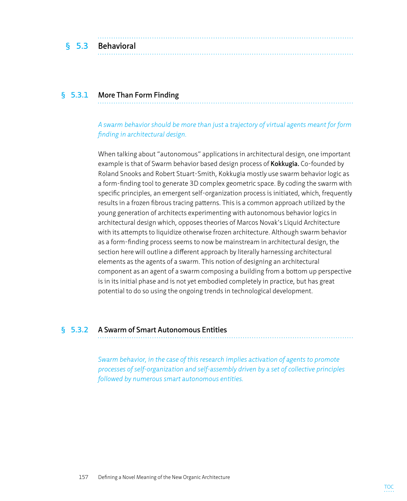|  | <b>Behavioral</b> |
|--|-------------------|
|  |                   |

#### **§ 5.3.1 More Than Form Finding**

#### *A swarm behavior should be more than just a trajectory of virtual agents meant for form finding in architectural design.*

When talking about "autonomous" applications in architectural design, one important example is that of Swarm behavior based design process of **Kokkugia.** Co-founded by Roland Snooks and Robert Stuart-Smith, Kokkugia mostly use swarm behavior logic as a form-finding tool to generate 3D complex geometric space. By coding the swarm with specific principles, an emergent self-organization process is initiated, which, frequently results in a frozen fibrous tracing patterns. This is a common approach utilized by the young generation of architects experimenting with autonomous behavior logics in architectural design which, opposes theories of Marcos Novak's Liquid Architecture with its attempts to liquidize otherwise frozen architecture. Although swarm behavior as a form-finding process seems to now be mainstream in architectural design, the section here will outline a different approach by literally harnessing architectural elements as the agents of a swarm. This notion of designing an architectural component as an agent of a swarm composing a building from a bottom up perspective is in its initial phase and is not yet embodied completely in practice, but has great potential to do so using the ongoing trends in technological development.

#### **§ 5.3.2 A Swarm of Smart Autonomous Entities**

*Swarm behavior, in the case of this research implies activation of agents to promote processes of self-organization and self-assembly driven by a set of collective principles followed by numerous smart autonomous entities.*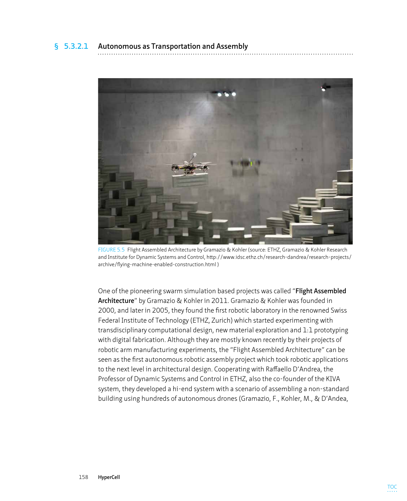

Figure 5.5 Flight Assembled Architecture by Gramazio & Kohler (source: ETHZ, Gramazio & Kohler Research and Institute for Dynamic Systems and Control, http://www.idsc.ethz.ch/research-dandrea/research-projects/ archive/flying-machine-enabled-construction.html )

One of the pioneering swarm simulation based projects was called "**Flight Assembled Architecture**" by Gramazio & Kohler in 2011. Gramazio & Kohler was founded in 2000, and later in 2005, they found the first robotic laboratory in the renowned Swiss Federal Institute of Technology (ETHZ, Zurich) which started experimenting with transdisciplinary computational design, new material exploration and 1:1 prototyping with digital fabrication. Although they are mostly known recently by their projects of robotic arm manufacturing experiments, the "Flight Assembled Architecture" can be seen as the first autonomous robotic assembly project which took robotic applications to the next level in architectural design. Cooperating with Raffaello D'Andrea, the Professor of Dynamic Systems and Control in ETHZ, also the co-founder of the KIVA system, they developed a hi-end system with a scenario of assembling a non-standard building using hundreds of autonomous drones (Gramazio, F., Kohler, M., & D'Andea,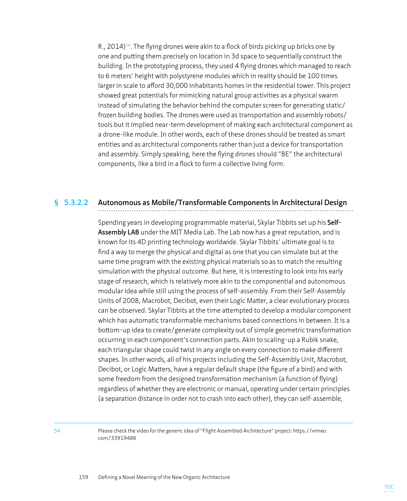R., 2014)<sup>54</sup>. The flying drones were akin to a flock of birds picking up bricks one by one and putting them precisely on location in 3d space to sequentially construct the building. In the prototyping process, they used 4 flying drones which managed to reach to 6 meters' height with polystyrene modules which in reality should be 100 times larger in scale to afford 30,000 inhabitants homes in the residential tower. This project showed great potentials for mimicking natural group activities as a physical swarm instead of simulating the behavior behind the computer screen for generating static/ frozen building bodies. The drones were used as transportation and assembly robots/ tools but it implied near-term development of making each architectural component as a drone-like module. In other words, each of these drones should be treated as smart entities and as architectural components rather than just a device for transportation and assembly. Simply speaking, here the flying drones should "BE" the architectural components, like a bird in a flock to form a collective living form.

#### **§ 5.3.2.2 Autonomous as Mobile/Transformable Components in Architectural Design**

Spending years in developing programmable material, Skylar Tibbits set up his **Self-Assembly LAB** under the MIT Media Lab. The Lab now has a great reputation, and is known for its 4D printing technology worldwide. Skylar Tibbits' ultimate goal is to find a way to merge the physical and digital as one that you can simulate but at the same time program with the existing physical materials so as to match the resulting simulation with the physical outcome. But here, it is interesting to look into his early stage of research, which is relatively more akin to the componential and autonomous modular idea while still using the process of self-assembly. From their Self-Assembly Units of 2008, Macrobot, Decibot, even their Logic Matter, a clear evolutionary process can be observed. Skylar Tibbits at the time attempted to develop a modular component which has automatic transformable mechanisms based connections in between. It is a bottom-up idea to create/generate complexity out of simple geometric transformation occurring in each component's connection parts. Akin to scaling-up a Rubik snake, each triangular shape could twist in any angle on every connection to make different shapes. In other words, all of his projects including the Self-Assembly Unit, Macrobot, Decibot, or Logic Matters, have a regular default shape (the figure of a bird) and with some freedom from the designed transformation mechanism (a function of flying) regardless of whether they are electronic or manual, operating under certain principles (a separation distance in order not to crash into each other), they can self-assemble,

54 Please check the video for the generic idea of "Flight Assembled Architecture" project: https://vimeo. com/33919488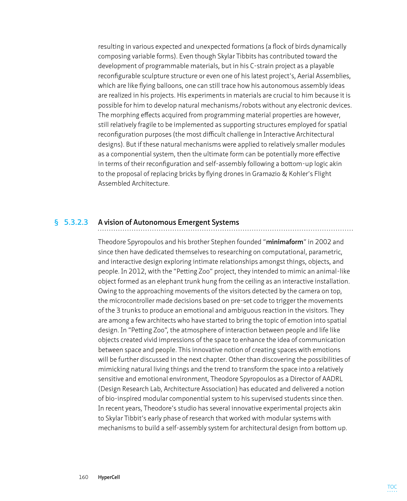resulting in various expected and unexpected formations (a flock of birds dynamically composing variable forms). Even though Skylar Tibbits has contributed toward the development of programmable materials, but in his C-strain project as a playable reconfigurable sculpture structure or even one of his latest project's, Aerial Assemblies, which are like flying balloons, one can still trace how his autonomous assembly ideas are realized in his projects. His experiments in materials are crucial to him because it is possible for him to develop natural mechanisms/robots without any electronic devices. The morphing effects acquired from programming material properties are however, still relatively fragile to be implemented as supporting structures employed for spatial reconfiguration purposes (the most difficult challenge in Interactive Architectural designs). But if these natural mechanisms were applied to relatively smaller modules as a componential system, then the ultimate form can be potentially more effective in terms of their reconfiguration and self-assembly following a bottom-up logic akin to the proposal of replacing bricks by flying drones in Gramazio & Kohler's Flight Assembled Architecture.

#### **§ 5.3.2.3 A vision of Autonomous Emergent Systems**

Theodore Spyropoulos and his brother Stephen founded "**minimaform**" in 2002 and since then have dedicated themselves to researching on computational, parametric, and interactive design exploring intimate relationships amongst things, objects, and people. In 2012, with the "Petting Zoo" project, they intended to mimic an animal-like object formed as an elephant trunk hung from the ceiling as an interactive installation. Owing to the approaching movements of the visitors detected by the camera on top, the microcontroller made decisions based on pre-set code to trigger the movements of the 3 trunks to produce an emotional and ambiguous reaction in the visitors. They are among a few architects who have started to bring the topic of emotion into spatial design. In "Petting Zoo", the atmosphere of interaction between people and life like objects created vivid impressions of the space to enhance the idea of communication between space and people. This innovative notion of creating spaces with emotions will be further discussed in the next chapter. Other than discovering the possibilities of mimicking natural living things and the trend to transform the space into a relatively sensitive and emotional environment, Theodore Spyropoulos as a Director of AADRL (Design Research Lab, Architecture Association) has educated and delivered a notion of bio-inspired modular componential system to his supervised students since then. In recent years, Theodore's studio has several innovative experimental projects akin to Skylar Tibbit's early phase of research that worked with modular systems with mechanisms to build a self-assembly system for architectural design from bottom up.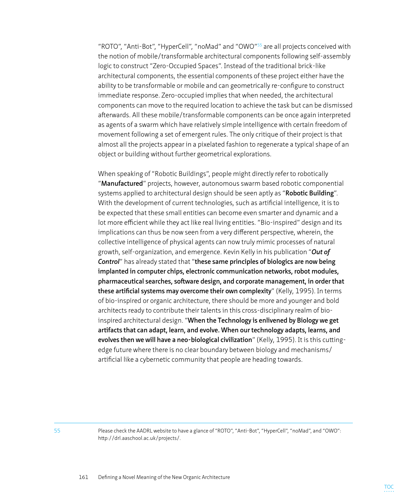"ROTO", "Anti-Bot", "HyperCell", "noMad" and "OWO"55 are all projects conceived with the notion of mobile/transformable architectural components following self-assembly logic to construct "Zero-Occupied Spaces". Instead of the traditional brick-like architectural components, the essential components of these project either have the ability to be transformable or mobile and can geometrically re-configure to construct immediate response. Zero-occupied implies that when needed, the architectural components can move to the required location to achieve the task but can be dismissed afterwards. All these mobile/transformable components can be once again interpreted as agents of a swarm which have relatively simple intelligence with certain freedom of movement following a set of emergent rules. The only critique of their project is that almost all the projects appear in a pixelated fashion to regenerate a typical shape of an object or building without further geometrical explorations.

When speaking of "Robotic Buildings", people might directly refer to robotically "**Manufactured**" projects, however, autonomous swarm based robotic componential systems applied to architectural design should be seen aptly as "**Robotic Building**". With the development of current technologies, such as artificial intelligence, it is to be expected that these small entities can become even smarter and dynamic and a lot more efficient while they act like real living entities. "Bio-inspired" design and its implications can thus be now seen from a very different perspective, wherein, the collective intelligence of physical agents can now truly mimic processes of natural growth, self-organization, and emergence. Kevin Kelly in his publication "*Out of Control*" has already stated that "**these same principles of biologics are now being implanted in computer chips, electronic communication networks, robot modules, pharmaceutical searches, software design, and corporate management, in order that these artificial systems may overcome their own complexity**" (Kelly, 1995). In terms of bio-inspired or organic architecture, there should be more and younger and bold architects ready to contribute their talents in this cross-disciplinary realm of bioinspired architectural design. "**When the Technology is enlivened by Biology we get artifacts that can adapt, learn, and evolve. When our technology adapts, learns, and evolves then we will have a neo-biological civilization**" (Kelly, 1995). It is this cuttingedge future where there is no clear boundary between biology and mechanisms/ artificial like a cybernetic community that people are heading towards.

55 Please check the AADRL website to have a glance of "ROTO", "Anti-Bot", "HyperCell", "noMad", and "OWO": http://drl.aaschool.ac.uk/projects/.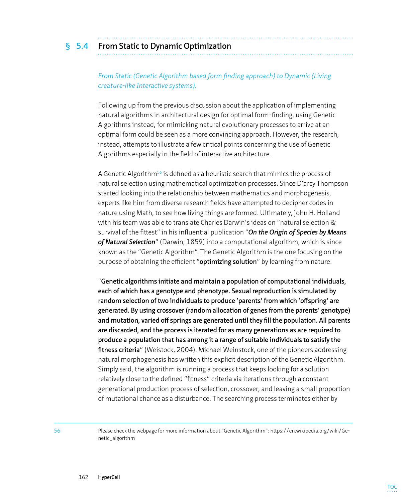# **§ 5.4 From Static to Dynamic Optimization**

*From Static (Genetic Algorithm based form finding approach) to Dynamic (Living creature-like Interactive systems).*

Following up from the previous discussion about the application of implementing natural algorithms in architectural design for optimal form-finding, using Genetic Algorithms instead, for mimicking natural evolutionary processes to arrive at an optimal form could be seen as a more convincing approach. However, the research, instead, attempts to illustrate a few critical points concerning the use of Genetic Algorithms especially in the field of interactive architecture.

A Genetic Algorithm<sup>56</sup> is defined as a heuristic search that mimics the process of natural selection using mathematical optimization processes. Since D'arcy Thompson started looking into the relationship between mathematics and morphogenesis, experts like him from diverse research fields have attempted to decipher codes in nature using Math, to see how living things are formed. Ultimately, John H. Holland with his team was able to translate Charles Darwin's ideas on "natural selection & survival of the fittest" in his influential publication "*On the Origin of Species by Means of Natural Selection*" (Darwin, 1859) into a computational algorithm, which is since known as the "Genetic Algorithm". The Genetic Algorithm is the one focusing on the purpose of obtaining the efficient "**optimizing solution**" by learning from nature.

"**Genetic algorithms initiate and maintain a population of computational individuals, each of which has a genotype and phenotype. Sexual reproduction is simulated by random selection of two individuals to produce 'parents' from which 'offspring' are generated. By using crossover (random allocation of genes from the parents' genotype) and mutation, varied off springs are generated until they fill the population. All parents are discarded, and the process is iterated for as many generations as are required to produce a population that has among it a range of suitable individuals to satisfy the fitness criteria**" (Weistock, 2004). Michael Weinstock, one of the pioneers addressing natural morphogenesis has written this explicit description of the Genetic Algorithm. Simply said, the algorithm is running a process that keeps looking for a solution relatively close to the defined "fitness" criteria via iterations through a constant generational production process of selection, crossover, and leaving a small proportion of mutational chance as a disturbance. The searching process terminates either by

56 Please check the webpage for more information about "Genetic Algorithm": https://en.wikipedia.org/wiki/Genetic\_algorithm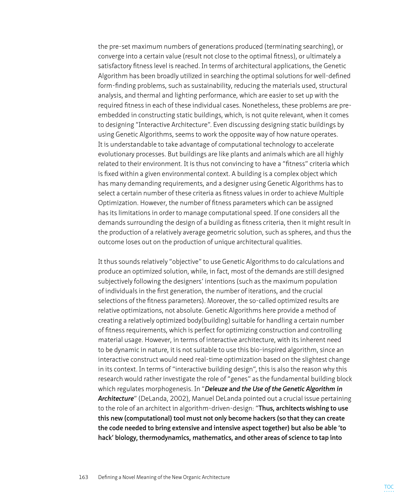the pre-set maximum numbers of generations produced (terminating searching), or converge into a certain value (result not close to the optimal fitness), or ultimately a satisfactory fitness level is reached. In terms of architectural applications, the Genetic Algorithm has been broadly utilized in searching the optimal solutions for well-defined form-finding problems, such as sustainability, reducing the materials used, structural analysis, and thermal and lighting performance, which are easier to set up with the required fitness in each of these individual cases. Nonetheless, these problems are preembedded in constructing static buildings, which, is not quite relevant, when it comes to designing "Interactive Architecture". Even discussing designing static buildings by using Genetic Algorithms, seems to work the opposite way of how nature operates. It is understandable to take advantage of computational technology to accelerate evolutionary processes. But buildings are like plants and animals which are all highly related to their environment. It is thus not convincing to have a "fitness" criteria which is fixed within a given environmental context. A building is a complex object which has many demanding requirements, and a designer using Genetic Algorithms has to select a certain number of these criteria as fitness values in order to achieve Multiple Optimization. However, the number of fitness parameters which can be assigned has its limitations in order to manage computational speed. If one considers all the demands surrounding the design of a building as fitness criteria, then it might result in the production of a relatively average geometric solution, such as spheres, and thus the outcome loses out on the production of unique architectural qualities.

It thus sounds relatively "objective" to use Genetic Algorithms to do calculations and produce an optimized solution, while, in fact, most of the demands are still designed subjectively following the designers' intentions (such as the maximum population of individuals in the first generation, the number of iterations, and the crucial selections of the fitness parameters). Moreover, the so-called optimized results are relative optimizations, not absolute. Genetic Algorithms here provide a method of creating a relatively optimized body(building) suitable for handling a certain number of fitness requirements, which is perfect for optimizing construction and controlling material usage. However, in terms of interactive architecture, with its inherent need to be dynamic in nature, it is not suitable to use this bio-inspired algorithm, since an interactive construct would need real-time optimization based on the slightest change in its context. In terms of "interactive building design", this is also the reason why this research would rather investigate the role of "genes" as the fundamental building block which regulates morphogenesis. In "*Deleuze and the Use of the Genetic Algorithm in Architecture*" (DeLanda, 2002), Manuel DeLanda pointed out a crucial issue pertaining to the role of an architect in algorithm-driven-design: "**Thus, architects wishing to use this new (computational) tool must not only become hackers (so that they can create the code needed to bring extensive and intensive aspect together) but also be able 'to hack' biology, thermodynamics, mathematics, and other areas of science to tap into**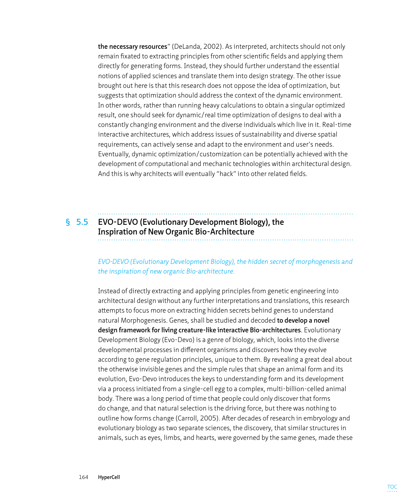**the necessary resources**" (DeLanda, 2002). As interpreted, architects should not only remain fixated to extracting principles from other scientific fields and applying them directly for generating forms. Instead, they should further understand the essential notions of applied sciences and translate them into design strategy. The other issue brought out here is that this research does not oppose the idea of optimization, but suggests that optimization should address the context of the dynamic environment. In other words, rather than running heavy calculations to obtain a singular optimized result, one should seek for dynamic/real time optimization of designs to deal with a constantly changing environment and the diverse individuals which live in it. Real-time interactive architectures, which address issues of sustainability and diverse spatial requirements, can actively sense and adapt to the environment and user's needs. Eventually, dynamic optimization/customization can be potentially achieved with the development of computational and mechanic technologies within architectural design. And this is why architects will eventually "hack" into other related fields.

# **§ 5.5 EVO-DEVO (Evolutionary Development Biology), the Inspiration of New Organic Bio-Architecture**

#### *EVO-DEVO (Evolutionary Development Biology), the hidden secret of morphogenesis and the inspiration of new organic Bio-architecture.*

Instead of directly extracting and applying principles from genetic engineering into architectural design without any further interpretations and translations, this research attempts to focus more on extracting hidden secrets behind genes to understand natural Morphogenesis. Genes, shall be studied and decoded **to develop a novel design framework for living creature-like interactive Bio-architectures**. Evolutionary Development Biology (Evo-Devo) is a genre of biology, which, looks into the diverse developmental processes in different organisms and discovers how they evolve according to gene regulation principles, unique to them. By revealing a great deal about the otherwise invisible genes and the simple rules that shape an animal form and its evolution, Evo-Devo introduces the keys to understanding form and its development via a process initiated from a single-cell egg to a complex, multi-billion-celled animal body. There was a long period of time that people could only discover that forms do change, and that natural selection is the driving force, but there was nothing to outline how forms change (Carroll, 2005). After decades of research in embryology and evolutionary biology as two separate sciences, the discovery, that similar structures in animals, such as eyes, limbs, and hearts, were governed by the same genes, made these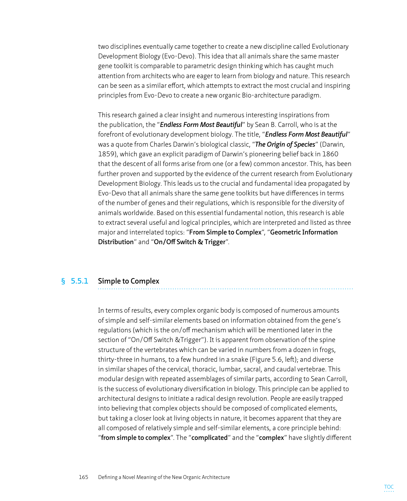two disciplines eventually came together to create a new discipline called Evolutionary Development Biology (Evo-Devo). This idea that all animals share the same master gene toolkit is comparable to parametric design thinking which has caught much attention from architects who are eager to learn from biology and nature. This research can be seen as a similar effort, which attempts to extract the most crucial and inspiring principles from Evo-Devo to create a new organic Bio-architecture paradigm.

This research gained a clear insight and numerous interesting inspirations from the publication, the "*Endless Form Most Beautiful*" by Sean B. Carroll, who is at the forefront of evolutionary development biology. The title, "*Endless Form Most Beautiful*" was a quote from Charles Darwin's biological classic, "*The Origin of Species*" (Darwin, 1859), which gave an explicit paradigm of Darwin's pioneering belief back in 1860 that the descent of all forms arise from one (or a few) common ancestor. This, has been further proven and supported by the evidence of the current research from Evolutionary Development Biology. This leads us to the crucial and fundamental idea propagated by Evo-Devo that all animals share the same gene toolkits but have differences in terms of the number of genes and their regulations, which is responsible for the diversity of animals worldwide. Based on this essential fundamental notion, this research is able to extract several useful and logical principles, which are interpreted and listed as three major and interrelated topics: "**From Simple to Complex**", "**Geometric Information Distribution**" and "**On/Off Switch & Trigger**".

#### **§ 5.5.1 Simple to Complex**

In terms of results, every complex organic body is composed of numerous amounts of simple and self-similar elements based on information obtained from the gene's regulations (which is the on/off mechanism which will be mentioned later in the section of "On/Off Switch &Trigger"). It is apparent from observation of the spine structure of the vertebrates which can be varied in numbers from a dozen in frogs, thirty-three in humans, to a few hundred in a snake (Figure 5.6, left); and diverse in similar shapes of the cervical, thoracic, lumbar, sacral, and caudal vertebrae. This modular design with repeated assemblages of similar parts, according to Sean Carroll, is the success of evolutionary diversification in biology. This principle can be applied to architectural designs to initiate a radical design revolution. People are easily trapped into believing that complex objects should be composed of complicated elements, but taking a closer look at living objects in nature, it becomes apparent that they are all composed of relatively simple and self-similar elements, a core principle behind: "**from simple to complex**". The "**complicated**" and the "**complex**" have slightly different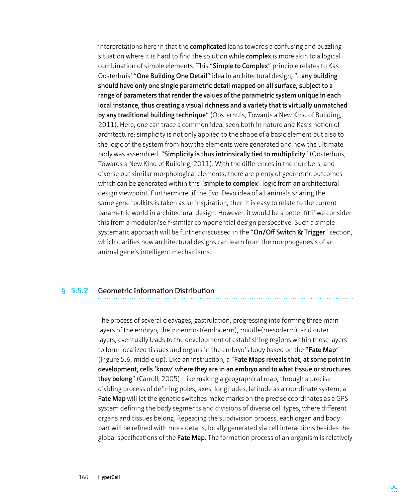interpretations here in that the **complicated** leans towards a confusing and puzzling situation where it is hard to find the solution while **complex** is more akin to a logical combination of simple elements. This "**Simple to Complex**" principle relates to Kas Oosterhuis' "**One Building One Detail**" idea in architectural design; "…**any building should have only one single parametric detail mapped on all surface, subject to a range of parameters that render the values of the parametric system unique in each local instance, thus creating a visual richness and a variety that is virtually unmatched by any traditional building technique**" (Oosterhuis, Towards a New Kind of Building, 2011). Here, one can trace a common idea, seen both in nature and Kas's notion of architecture; simplicity is not only applied to the shape of a basic element but also to the logic of the system from how the elements were generated and how the ultimate body was assembled. "**Simplicity is thus intrinsically tied to multiplicity**" (Oosterhuis, Towards a New Kind of Building, 2011). With the differences in the numbers, and diverse but similar morphological elements, there are plenty of geometric outcomes which can be generated within this "**simple to complex**" logic from an architectural design viewpoint. Furthermore, if the Evo-Devo idea of all animals sharing the same gene toolkits is taken as an inspiration, then it is easy to relate to the current parametric world in architectural design. However, it would be a better fit if we consider this from a modular/self-similar componential design perspective. Such a simple systematic approach will be further discussed in the "**On/Off Switch & Trigger**" section, which clarifies how architectural designs can learn from the morphogenesis of an animal gene's intelligent mechanisms.

### **§ 5.5.2 Geometric Information Distribution**

The process of several cleavages, gastrulation, progressing into forming three main layers of the embryo; the innermost(endoderm), middle(mesoderm), and outer layers, eventually leads to the development of establishing regions within these layers to form localized tissues and organs in the embryo's body based on the "**Fate Map**" (Figure 5.6, middle up). Like an instruction, a "**Fate Maps reveals that, at some point in development, cells 'know' where they are in an embryo and to what tissue or structures they belong**" (Carroll, 2005). Like making a geographical map, through a precise dividing process of defining poles, axes, longitudes, latitude as a coordinate system, a **Fate Map** will let the genetic switches make marks on the precise coordinates as a GPS system defining the body segments and divisions of diverse cell types, where different organs and tissues belong. Repeating the subdivision process, each organ and body part will be refined with more details, locally generated via cell interactions besides the global specifications of the **Fate Map**. The formation process of an organism is relatively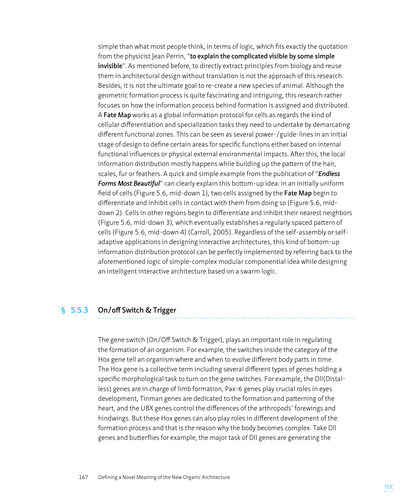simple than what most people think, in terms of logic, which fits exactly the quotation from the physicist Jean Perrin, "**to explain the complicated visible by some simple invisible**". As mentioned before, to directly extract principles from biology and reuse them in architectural design without translation is not the approach of this research. Besides, it is not the ultimate goal to re-create a new species of animal. Although the geometric formation process is quite fascinating and intriguing, this research rather focuses on how the information process behind formation is assigned and distributed. A **Fate Map** works as a global information protocol for cells as regards the kind of cellular differentiation and specialization tasks they need to undertake by demarcating different functional zones. This can be seen as several power-/guide-lines in an initial stage of design to define certain areas for specific functions either based on internal functional influences or physical external environmental impacts. After this, the local information distribution mostly happens while building up the pattern of the hair, scales, fur or feathers. A quick and simple example from the publication of "*Endless Forms Most Beautiful*" can clearly explain this bottom-up idea: in an initially uniform field of cells (Figure 5.6, mid-down 1), two cells assigned by the **Fate Map** begin to differentiate and inhibit cells in contact with them from doing so (Figure 5.6, middown 2). Cells in other regions begin to differentiate and inhibit their nearest neighbors (Figure 5.6, mid-down 3), which eventually establishes a regularly spaced pattern of cells (Figure 5.6, mid-down 4) (Carroll, 2005). Regardless of the self-assembly or selfadaptive applications in designing interactive architectures, this kind of bottom-up information distribution protocol can be perfectly implemented by referring back to the aforementioned logic of simple-complex modular componential idea while designing an intelligent interactive architecture based on a swarm logic.

#### **§ 5.5.3 On/off Switch & Trigger**

The gene switch (On/Off Switch & Trigger), plays an important role in regulating the formation of an organism. For example, the switches inside the category of the Hox gene tell an organism where and when to evolve different body parts in time. The Hox gene is a collective term including several different types of genes holding a specific morphological task to turn on the gene switches. For example, the Dll(Distalless) genes are in charge of limb formation, Pax-6 genes play crucial roles in eyes development, Tinman genes are dedicated to the formation and patterning of the heart, and the UBX genes control the differences of the arthropods' forewings and hindwings. But these Hox genes can also play roles in different development of the formation process and that is the reason why the body becomes complex. Take Dll genes and butterflies for example, the major task of Dll genes are generating the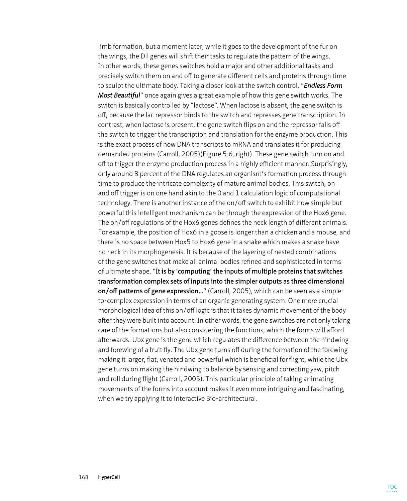limb formation, but a moment later, while it goes to the development of the fur on the wings, the Dll genes will shift their tasks to regulate the pattern of the wings. In other words, these genes switches hold a major and other additional tasks and precisely switch them on and off to generate different cells and proteins through time to sculpt the ultimate body. Taking a closer look at the switch control, "*Endless Form Most Beautiful*" once again gives a great example of how this gene switch works. The switch is basically controlled by "lactose". When lactose is absent, the gene switch is off, because the lac repressor binds to the switch and represses gene transcription. In contrast, when lactose is present, the gene switch flips on and the repressor falls off the switch to trigger the transcription and translation for the enzyme production. This is the exact process of how DNA transcripts to mRNA and translates it for producing demanded proteins (Carroll, 2005)(Figure 5.6, right). These gene switch turn on and off to trigger the enzyme production process in a highly efficient manner. Surprisingly, only around 3 percent of the DNA regulates an organism's formation process through time to produce the intricate complexity of mature animal bodies. This switch, on and off trigger is on one hand akin to the 0 and 1 calculation logic of computational technology. There is another instance of the on/off switch to exhibit how simple but powerful this intelligent mechanism can be through the expression of the Hox6 gene. The on/off regulations of the Hox6 genes defines the neck length of different animals. For example, the position of Hox6 in a goose is longer than a chicken and a mouse, and there is no space between Hox5 to Hox6 gene in a snake which makes a snake have no neck in its morphogenesis. It is because of the layering of nested combinations of the gene switches that make all animal bodies refined and sophisticated in terms of ultimate shape. "**It is by 'computing' the inputs of multiple proteins that switches transformation complex sets of inputs into the simpler outputs as three dimensional on/off patterns of gene expression…**" (Carroll, 2005), which can be seen as a simpleto-complex expression in terms of an organic generating system. One more crucial morphological idea of this on/off logic is that it takes dynamic movement of the body after they were built into account. In other words, the gene switches are not only taking care of the formations but also considering the functions, which the forms will afford afterwards. Ubx gene is the gene which regulates the difference between the hindwing and forewing of a fruit fly. The Ubx gene turns off during the formation of the forewing making it larger, flat, venated and powerful which is beneficial for flight, while the Ubx gene turns on making the hindwing to balance by sensing and correcting yaw, pitch and roll during flight (Carroll, 2005). This particular principle of taking animating movements of the forms into account makes it even more intriguing and fascinating, when we try applying it to interactive Bio-architectural.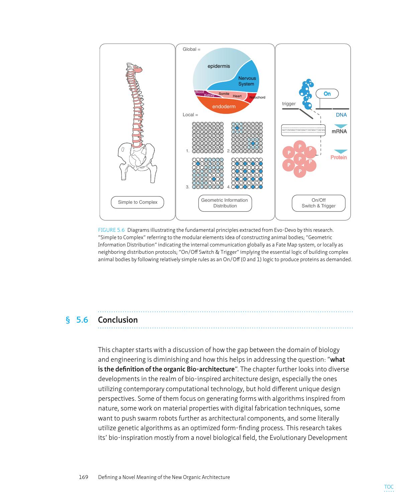

Figure 5.6 Diagrams illustrating the fundamental principles extracted from Evo-Devo by this research. "Simple to Complex" referring to the modular elements idea of constructing animal bodies; "Geometric Information Distribution" indicating the internal communication globally as a Fate Map system, or locally as neighboring distribution protocols; "On/Off Switch & Trigger" implying the essential logic of building complex animal bodies by following relatively simple rules as an On/Off (0 and 1) logic to produce proteins as demanded.

### **§ 5.6 Conclusion**

This chapter starts with a discussion of how the gap between the domain of biology and engineering is diminishing and how this helps in addressing the question: "**what is the definition of the organic Bio-architecture**". The chapter further looks into diverse developments in the realm of bio-inspired architecture design, especially the ones utilizing contemporary computational technology, but hold different unique design perspectives. Some of them focus on generating forms with algorithms inspired from nature, some work on material properties with digital fabrication techniques, some want to push swarm robots further as architectural components, and some literally utilize genetic algorithms as an optimized form-finding process. This research takes its' bio-inspiration mostly from a novel biological field, the Evolutionary Development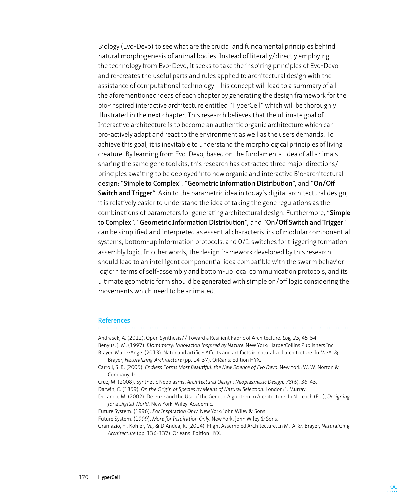Biology (Evo-Devo) to see what are the crucial and fundamental principles behind natural morphogenesis of animal bodies. Instead of literally/directly employing the technology from Evo-Devo, it seeks to take the inspiring principles of Evo-Devo and re-creates the useful parts and rules applied to architectural design with the assistance of computational technology. This concept will lead to a summary of all the aforementioned ideas of each chapter by generating the design framework for the bio-inspired interactive architecture entitled "HyperCell" which will be thoroughly illustrated in the next chapter. This research believes that the ultimate goal of Interactive architecture is to become an authentic organic architecture which can pro-actively adapt and react to the environment as well as the users demands. To achieve this goal, it is inevitable to understand the morphological principles of living creature. By learning from Evo-Devo, based on the fundamental idea of all animals sharing the same gene toolkits, this research has extracted three major directions/ principles awaiting to be deployed into new organic and interactive Bio-architectural design: "**Simple to Complex**", "**Geometric Information Distribution**", and "**On/Off Switch and Trigger**". Akin to the parametric idea in today's digital architectural design, it is relatively easier to understand the idea of taking the gene regulations as the combinations of parameters for generating architectural design. Furthermore, "**Simple to Complex**", "**Geometric Information Distribution**", and "**On/Off Switch and Trigger**" can be simplified and interpreted as essential characteristics of modular componential systems, bottom-up information protocols, and 0/1 switches for triggering formation assembly logic. In other words, the design framework developed by this research should lead to an intelligent componential idea compatible with the swarm behavior logic in terms of self-assembly and bottom-up local communication protocols, and its ultimate geometric form should be generated with simple on/off logic considering the movements which need to be animated.

#### **References**

Andrasek, A. (2012). Open Synthesis// Toward a Resilient Fabric of Architecture. *Log, 25*, 45-54. Benyus, J. M. (1997). *Biomimicry: Innovation Inspired by Nature.* New York: HarperCollins Publishers Inc. Brayer, Marie-Ange. (2013). Natur and artifice: Affects and artifacts in naturalized architecture. In M.-A. &. Brayer, *Naturalizing Architecture* (pp. 14-37). Orléans: Edition HYX.

- Carroll, S. B. (2005). *Endless Forms Most Beautiful: the New Science of Evo Devo.* New York: W. W. Norton & Company, Inc.
- Cruz, M. (2008). Synthetic Neoplasms. *Architectural Design: Neoplasmatic Design, 78*(6), 36-43.
- Darwin, C. (1859). *On the Origin of Species by Means of Natural Selection.* London: J. Murray.
- DeLanda, M. (2002). Deleuze and the Use of the Genetic Algorithm in Architecture. In N. Leach (Ed.), *Designing for a Digital World.* New York: Wiley-Academic.
- Future System. (1996). *For Inspiration Only.* New York: John Wiley & Sons.
- Future System. (1999). *More for Inspiration Only.* New York: John Wiley & Sons.
- Gramazio, F., Kohler, M., & D'Andea, R. (2014). Flight Assembled Architecture. In M.-A. &. Brayer, *Naturalizing Architecture* (pp. 136-137). Orléans: Edition HYX.